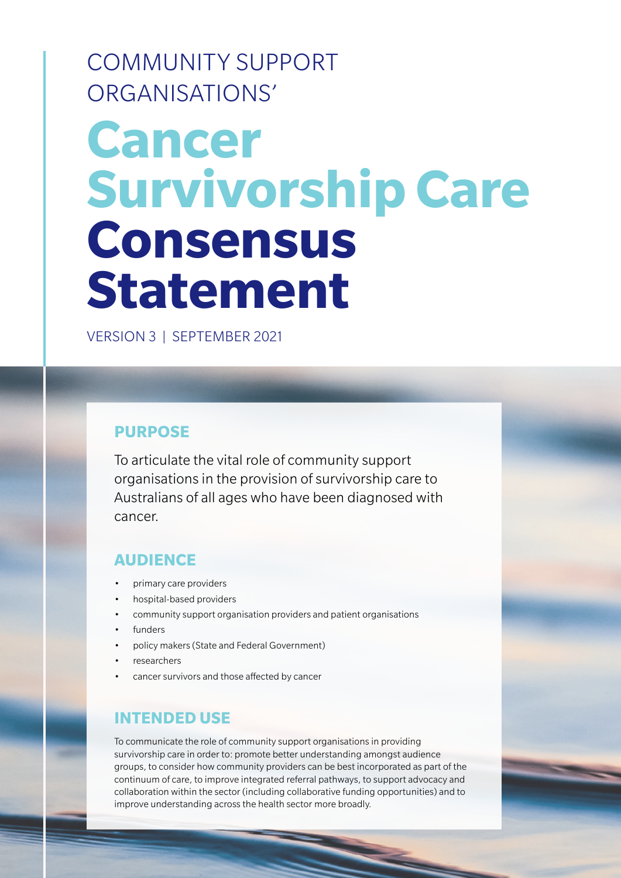COMMUNITY SUPPORT ORGANISATIONS'

# **Cancer Survivorship Care Consensus Statement**

VERSION 3 | SEPTEMBER 2021

### **PURPOSE**

To articulate the vital role of community support organisations in the provision of survivorship care to Australians of all ages who have been diagnosed with cancer.

### **AUDIENCE**

- primary care providers
- hospital-based providers
- community support organisation providers and patient organisations
- funders
- policy makers (State and Federal Government)
- researchers
- cancer survivors and those affected by cancer

### **INTENDED USE**

To communicate the role of community support organisations in providing survivorship care in order to: promote better understanding amongst audience groups, to consider how community providers can be best incorporated as part of the continuum of care, to improve integrated referral pathways, to support advocacy and collaboration within the sector (including collaborative funding opportunities) and to improve understanding across the health sector more broadly.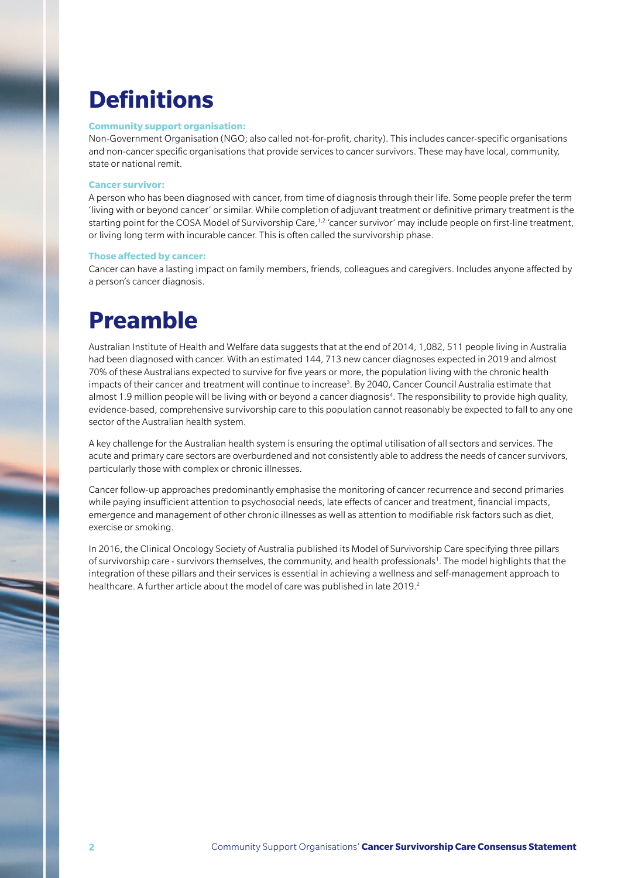## **Definitions**

#### **Community support organisation:**

Non-Government Organisation (NGO; also called not-for-profit, charity). This includes cancer-specific organisations and non-cancer specific organisations that provide services to cancer survivors. These may have local, community, state or national remit.

#### **Cancer survivor:**

A person who has been diagnosed with cancer, from time of diagnosis through their life. Some people prefer the term 'living with or beyond cancer' or similar. While completion of adjuvant treatment or definitive primary treatment is the starting point for the COSA Model of Survivorship Care,<sup>1,2</sup> 'cancer survivor' may include people on first-line treatment, or living long term with incurable cancer. This is often called the survivorship phase.

#### **Those affected by cancer:**

Cancer can have a lasting impact on family members, friends, colleagues and caregivers. Includes anyone affected by a person's cancer diagnosis.

### **Preamble**

Australian Institute of Health and Welfare data suggests that at the end of 2014, 1,082, 511 people living in Australia had been diagnosed with cancer. With an estimated 144, 713 new cancer diagnoses expected in 2019 and almost 70% of these Australians expected to survive for five years or more, the population living with the chronic health impacts of their cancer and treatment will continue to increase<sup>3</sup>. By 2040, Cancer Council Australia estimate that almost 1.9 million people will be living with or beyond a cancer diagnosis<sup>4</sup>. The responsibility to provide high quality, evidence-based, comprehensive survivorship care to this population cannot reasonably be expected to fall to any one sector of the Australian health system.

A key challenge for the Australian health system is ensuring the optimal utilisation of all sectors and services. The acute and primary care sectors are overburdened and not consistently able to address the needs of cancer survivors, particularly those with complex or chronic illnesses.

Cancer follow-up approaches predominantly emphasise the monitoring of cancer recurrence and second primaries while paying insufficient attention to psychosocial needs, late effects of cancer and treatment, financial impacts, emergence and management of other chronic illnesses as well as attention to modifiable risk factors such as diet, exercise or smoking.

In 2016, the Clinical Oncology Society of Australia published its Model of Survivorship Care specifying three pillars of survivorship care - survivors themselves, the community, and health professionals<sup>1</sup>. The model highlights that the integration of these pillars and their services is essential in achieving a wellness and self-management approach to healthcare. A further article about the model of care was published in late 2019.<sup>2</sup>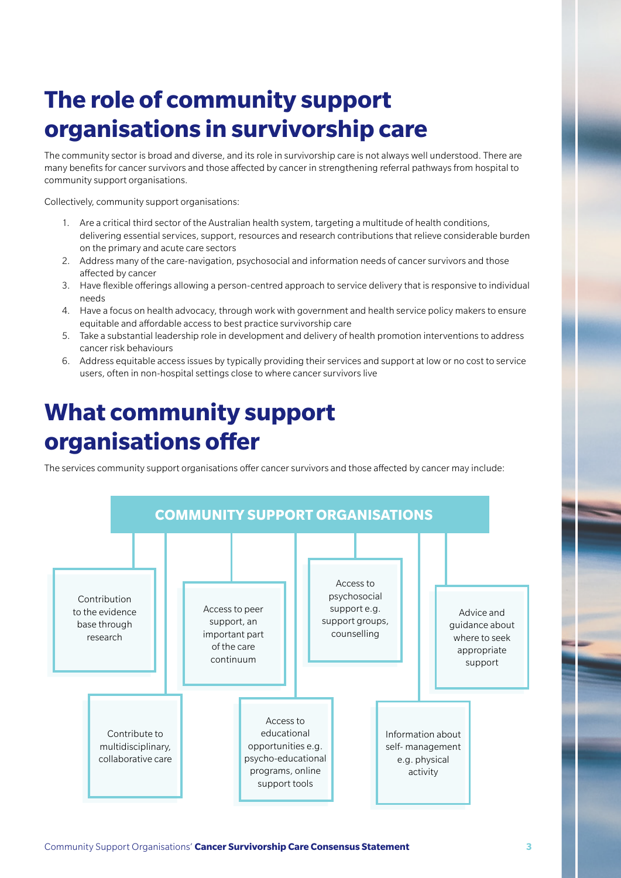# **The role of community support organisations in survivorship care**

The community sector is broad and diverse, and its role in survivorship care is not always well understood. There are many benefits for cancer survivors and those affected by cancer in strengthening referral pathways from hospital to community support organisations.

Collectively, community support organisations:

- 1. Are a critical third sector of the Australian health system, targeting a multitude of health conditions, delivering essential services, support, resources and research contributions that relieve considerable burden on the primary and acute care sectors
- 2. Address many of the care-navigation, psychosocial and information needs of cancer survivors and those affected by cancer
- 3. Have flexible offerings allowing a person-centred approach to service delivery that is responsive to individual needs
- 4. Have a focus on health advocacy, through work with government and health service policy makers to ensure equitable and affordable access to best practice survivorship care
- 5. Take a substantial leadership role in development and delivery of health promotion interventions to address cancer risk behaviours
- 6. Address equitable access issues by typically providing their services and support at low or no cost to service users, often in non-hospital settings close to where cancer survivors live

### **What community support organisations offer**

The services community support organisations offer cancer survivors and those affected by cancer may include:

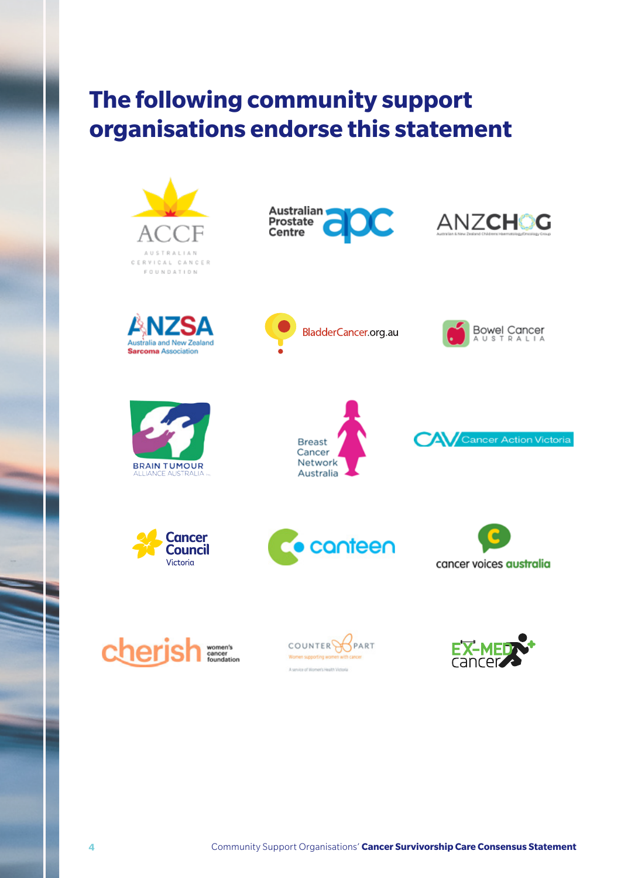# **The following community support organisations endorse this statement**

Australian

Prostate Centre











Australia

BladderCancer.org.au



Bowel Cancer<br>AUSTRALIA

ANZCHOG













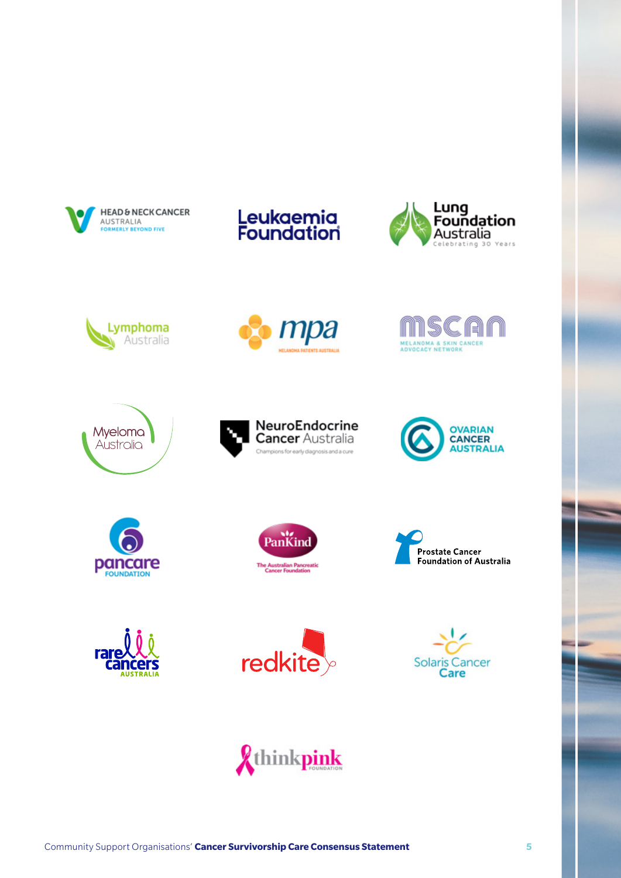